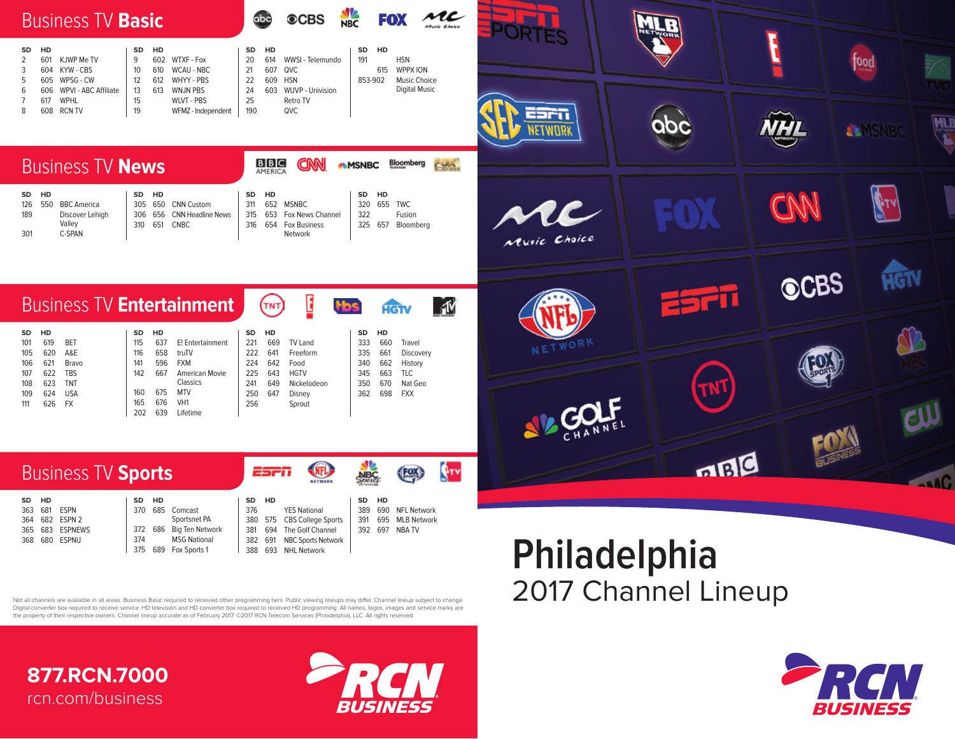

## 364 682 ESPN 2 683 ESPNEWS 368 680 ESPNU Sportsnet PA 372 686 Big Ten Network<br>374 MSG National **MSG National** 375 689 Fox Sports 1 380 575 CBS College Sports<br>381 694 The Golf Channel 381 694 The Golf Channel<br>382 691 NBC Sports Netwo NBC Sports Network 388 693 NHL Network 391 695 MLB Network 392 697 NBA TV

## **Philadelphia** 2017 Channel Lineup

Not all channels are available in all areas. Business Basic required to received other programming tiers. Public viewing lineups may differ. Channel lineup subject to change. Digital converter box required to receive service. HD television and HD converter box required to received HD programming. All names, logos, images and service marks are the property of their respective owners. Channel lineup accurate as of February 2017. ©2017 RCN Telecom Services (Philadelphia), LLC. All rights reserved.

**877.RCN.7000** rcn.com/business